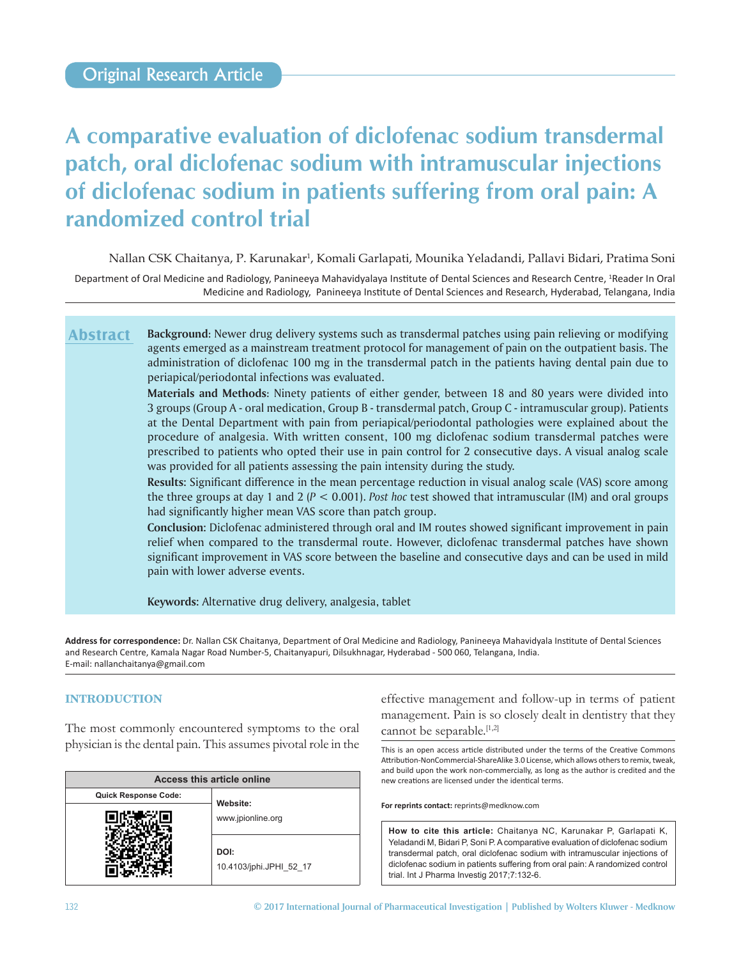# **A comparative evaluation of diclofenac sodium transdermal patch, oral diclofenac sodium with intramuscular injections of diclofenac sodium in patients suffering from oral pain: A randomized control trial**

Nallan CSK Chaitanya, P. Karunakar<sup>1</sup>, Komali Garlapati, Mounika Yeladandi, Pallavi Bidari, Pratima Soni

Department of Oral Medicine and Radiology, Panineeya Mahavidyalaya Institute of Dental Sciences and Research Centre, <sup>1</sup>Reader In Oral Medicine and Radiology, Panineeya Institute of Dental Sciences and Research, Hyderabad, Telangana, India

**Background**: Newer drug delivery systems such as transdermal patches using pain relieving or modifying agents emerged as a mainstream treatment protocol for management of pain on the outpatient basis. The administration of diclofenac 100 mg in the transdermal patch in the patients having dental pain due to periapical/periodontal infections was evaluated. **Abstract**

> **Materials and Methods**: Ninety patients of either gender, between 18 and 80 years were divided into 3 groups (Group A ‑ oral medication, Group B ‑ transdermal patch, Group C ‑ intramuscular group). Patients at the Dental Department with pain from periapical/periodontal pathologies were explained about the procedure of analgesia. With written consent, 100 mg diclofenac sodium transdermal patches were prescribed to patients who opted their use in pain control for 2 consecutive days. A visual analog scale was provided for all patients assessing the pain intensity during the study.

> **Results:** Significant difference in the mean percentage reduction in visual analog scale (VAS) score among the three groups at day 1 and 2 (*P* < 0.001). *Post hoc* test showed that intramuscular (IM) and oral groups had significantly higher mean VAS score than patch group.

> **Conclusion:** Diclofenac administered through oral and IM routes showed significant improvement in pain relief when compared to the transdermal route. However, diclofenac transdermal patches have shown significant improvement in VAS score between the baseline and consecutive days and can be used in mild pain with lower adverse events.

**Keywords:** Alternative drug delivery, analgesia, tablet

**Address for correspondence:** Dr. Nallan CSK Chaitanya, Department of Oral Medicine and Radiology, Panineeya Mahavidyala Institute of Dental Sciences and Research Centre, Kamala Nagar Road Number‑5, Chaitanyapuri, Dilsukhnagar, Hyderabad ‑ 500 060, Telangana, India. E‑mail: nallanchaitanya@gmail.com

# **INTRODUCTION**

The most commonly encountered symptoms to the oral physician is the dental pain. This assumes pivotal role in the

| Access this article online  |                                 |  |  |  |  |  |
|-----------------------------|---------------------------------|--|--|--|--|--|
| <b>Quick Response Code:</b> |                                 |  |  |  |  |  |
|                             | Website:<br>www.jpionline.org   |  |  |  |  |  |
|                             | DOI:<br>10.4103/jphi.JPHI 52 17 |  |  |  |  |  |

effective management and follow‑up in terms of patient management. Pain is so closely dealt in dentistry that they cannot be separable.<sup>[1,2]</sup>

This is an open access article distributed under the terms of the Creative Commons Attribution-NonCommercial-ShareAlike 3.0 License, which allows others to remix, tweak, and build upon the work non‑commercially, as long as the author is credited and the new creations are licensed under the identical terms.

**For reprints contact:** reprints@medknow.com

**How to cite this article:** Chaitanya NC, Karunakar P, Garlapati K, Yeladandi M, Bidari P, Soni P. A comparative evaluation of diclofenac sodium transdermal patch, oral diclofenac sodium with intramuscular injections of diclofenac sodium in patients suffering from oral pain: A randomized control trial. Int J Pharma Investig 2017;7:132-6.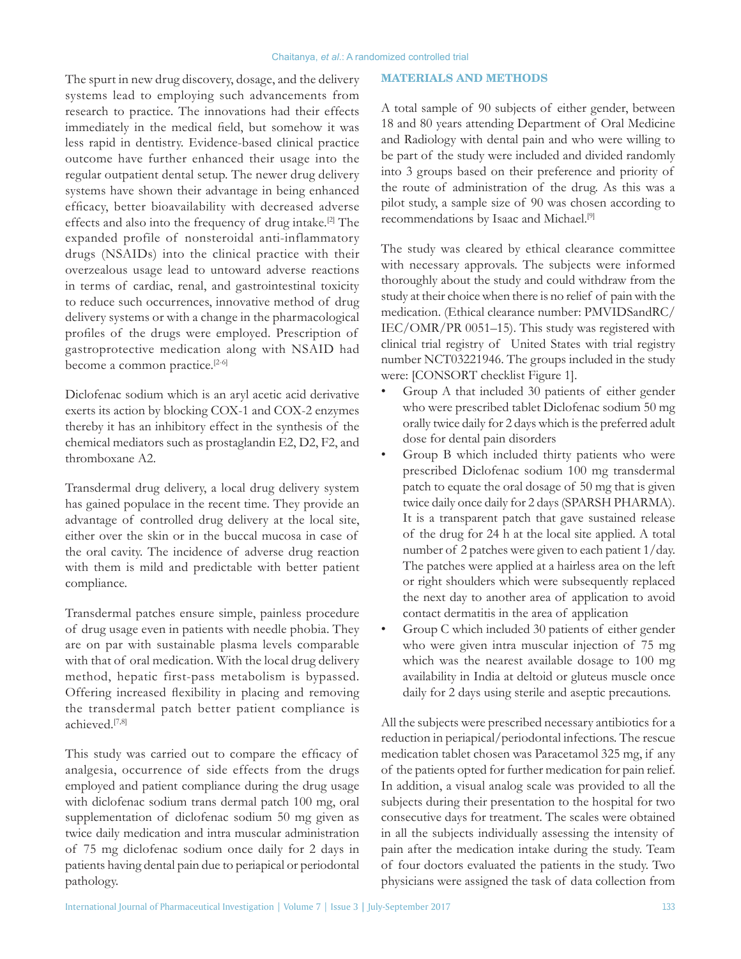The spurt in new drug discovery, dosage, and the delivery systems lead to employing such advancements from research to practice. The innovations had their effects immediately in the medical field, but somehow it was less rapid in dentistry. Evidence‑based clinical practice outcome have further enhanced their usage into the regular outpatient dental setup. The newer drug delivery systems have shown their advantage in being enhanced efficacy, better bioavailability with decreased adverse effects and also into the frequency of drug intake.[2] The expanded profile of nonsteroidal anti‑inflammatory drugs (NSAIDs) into the clinical practice with their overzealous usage lead to untoward adverse reactions in terms of cardiac, renal, and gastrointestinal toxicity to reduce such occurrences, innovative method of drug delivery systems or with a change in the pharmacological profiles of the drugs were employed. Prescription of gastroprotective medication along with NSAID had become a common practice.<sup>[2-6]</sup>

Diclofenac sodium which is an aryl acetic acid derivative exerts its action by blocking COX‑1 and COX‑2 enzymes thereby it has an inhibitory effect in the synthesis of the chemical mediators such as prostaglandin E2, D2, F2, and thromboxane A2.

Transdermal drug delivery, a local drug delivery system has gained populace in the recent time. They provide an advantage of controlled drug delivery at the local site, either over the skin or in the buccal mucosa in case of the oral cavity. The incidence of adverse drug reaction with them is mild and predictable with better patient compliance.

Transdermal patches ensure simple, painless procedure of drug usage even in patients with needle phobia. They are on par with sustainable plasma levels comparable with that of oral medication. With the local drug delivery method, hepatic first‑pass metabolism is bypassed. Offering increased flexibility in placing and removing the transdermal patch better patient compliance is achieved.[7,8]

This study was carried out to compare the efficacy of analgesia, occurrence of side effects from the drugs employed and patient compliance during the drug usage with diclofenac sodium trans dermal patch 100 mg, oral supplementation of diclofenac sodium 50 mg given as twice daily medication and intra muscular administration of 75 mg diclofenac sodium once daily for 2 days in patients having dental pain due to periapical or periodontal pathology.

A total sample of 90 subjects of either gender, between 18 and 80 years attending Department of Oral Medicine and Radiology with dental pain and who were willing to be part of the study were included and divided randomly into 3 groups based on their preference and priority of the route of administration of the drug. As this was a pilot study, a sample size of 90 was chosen according to recommendations by Isaac and Michael.[9]

The study was cleared by ethical clearance committee with necessary approvals. The subjects were informed thoroughly about the study and could withdraw from the study at their choice when there is no relief of pain with the medication. (Ethical clearance number: PMVIDSandRC/ IEC/OMR/PR 0051–15). This study was registered with clinical trial registry of United States with trial registry number NCT03221946. The groups included in the study were: [CONSORT checklist Figure 1].

- Group A that included 30 patients of either gender who were prescribed tablet Diclofenac sodium 50 mg orally twice daily for 2 days which is the preferred adult dose for dental pain disorders
- Group B which included thirty patients who were prescribed Diclofenac sodium 100 mg transdermal patch to equate the oral dosage of 50 mg that is given twice daily once daily for 2 days(SPARSH PHARMA). It is a transparent patch that gave sustained release of the drug for 24 h at the local site applied. A total number of 2 patches were given to each patient 1/day. The patches were applied at a hairless area on the left or right shoulders which were subsequently replaced the next day to another area of application to avoid contact dermatitis in the area of application
- Group C which included 30 patients of either gender who were given intra muscular injection of 75 mg which was the nearest available dosage to 100 mg availability in India at deltoid or gluteus muscle once daily for 2 days using sterile and aseptic precautions.

All the subjects were prescribed necessary antibiotics for a reduction in periapical/periodontal infections. The rescue medication tablet chosen was Paracetamol 325 mg, if any of the patients opted for further medication for pain relief. In addition, a visual analog scale was provided to all the subjects during their presentation to the hospital for two consecutive days for treatment. The scales were obtained in all the subjects individually assessing the intensity of pain after the medication intake during the study. Team of four doctors evaluated the patients in the study. Two physicians were assigned the task of data collection from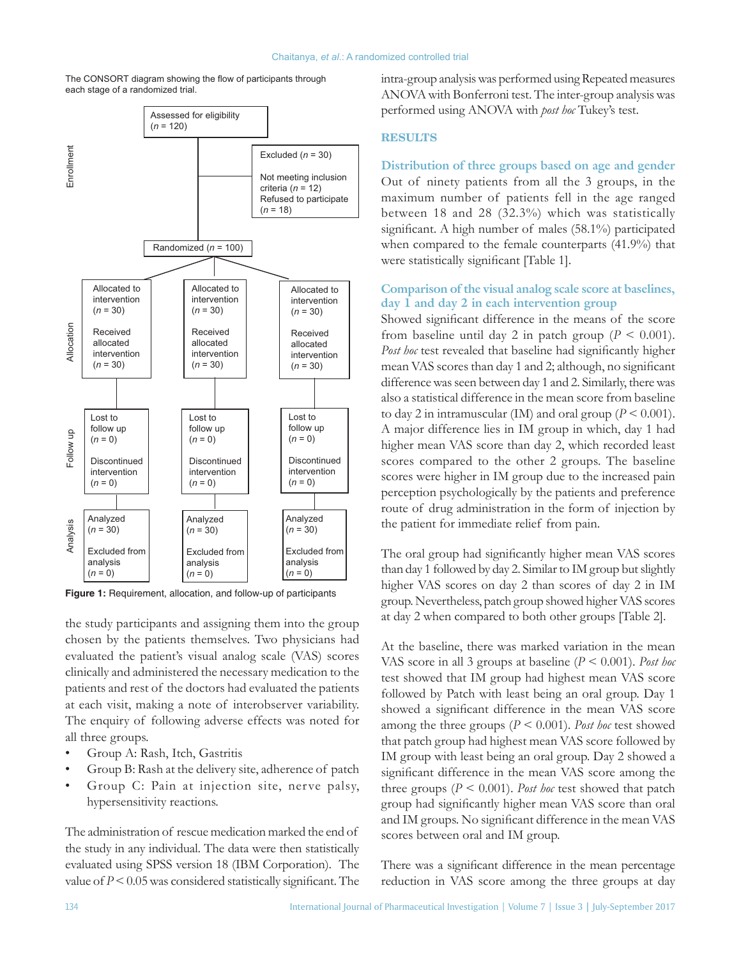



**Figure 1:** Requirement, allocation, and follow-up of participants

the study participants and assigning them into the group chosen by the patients themselves. Two physicians had evaluated the patient's visual analog scale (VAS) scores clinically and administered the necessary medication to the patients and rest of the doctors had evaluated the patients at each visit, making a note of interobserver variability. The enquiry of following adverse effects was noted for all three groups.

- Group A: Rash, Itch, Gastritis
- Group B: Rash at the delivery site, adherence of patch
- Group C: Pain at injection site, nerve palsy, hypersensitivity reactions.

The administration of rescue medication marked the end of the study in any individual. The data were then statistically evaluated using  SPSS version 18 (IBM Corporation). The value of  $P \le 0.05$  was considered statistically significant. The intra‑group analysis was performed using Repeated measures ANOVA with Bonferroni test. The inter‑group analysis was performed using ANOVA with *post hoc* Tukey's test.

#### **RESULTS**

**Distribution of three groups based on age and gender** Out of ninety patients from all the 3 groups, in the maximum number of patients fell in the age ranged between 18 and 28 (32.3%) which was statistically significant. A high number of males (58.1%) participated when compared to the female counterparts (41.9%) that were statistically significant [Table 1].

# **Comparison of the visual analog scale score at baselines, day 1 and day 2 in each intervention group**

Showed significant difference in the means of the score from baseline until day 2 in patch group  $(P < 0.001)$ . *Post hoc* test revealed that baseline had significantly higher mean VAS scores than day 1 and 2; although, no significant difference was seen between day 1 and 2. Similarly, there was also a statistical difference in the mean score from baseline to day 2 in intramuscular (IM) and oral group ( $P < 0.001$ ). A major difference lies in IM group in which, day 1 had higher mean VAS score than day 2, which recorded least scores compared to the other 2 groups. The baseline scores were higher in IM group due to the increased pain perception psychologically by the patients and preference route of drug administration in the form of injection by the patient for immediate relief from pain.

The oral group had significantly higher mean VAS scores than day 1 followed by day 2. Similar to IM group but slightly higher VAS scores on day 2 than scores of day 2 in IM group. Nevertheless, patch group showed higher VAS scores at day 2 when compared to both other groups [Table 2].

At the baseline, there was marked variation in the mean VAS score in all 3 groups at baseline (*P* < 0.001). *Post hoc* test showed that IM group had highest mean VAS score followed by Patch with least being an oral group. Day 1 showed a significant difference in the mean VAS score among the three groups (*P* < 0.001). *Post hoc* test showed that patch group had highest mean VAS score followed by IM group with least being an oral group. Day 2 showed a significant difference in the mean VAS score among the three groups  $(P \le 0.001)$ . *Post hoc* test showed that patch group had significantly higher mean VAS score than oral and IM groups. No significant difference in the mean VAS scores between oral and IM group.

There was a significant difference in the mean percentage reduction in VAS score among the three groups at day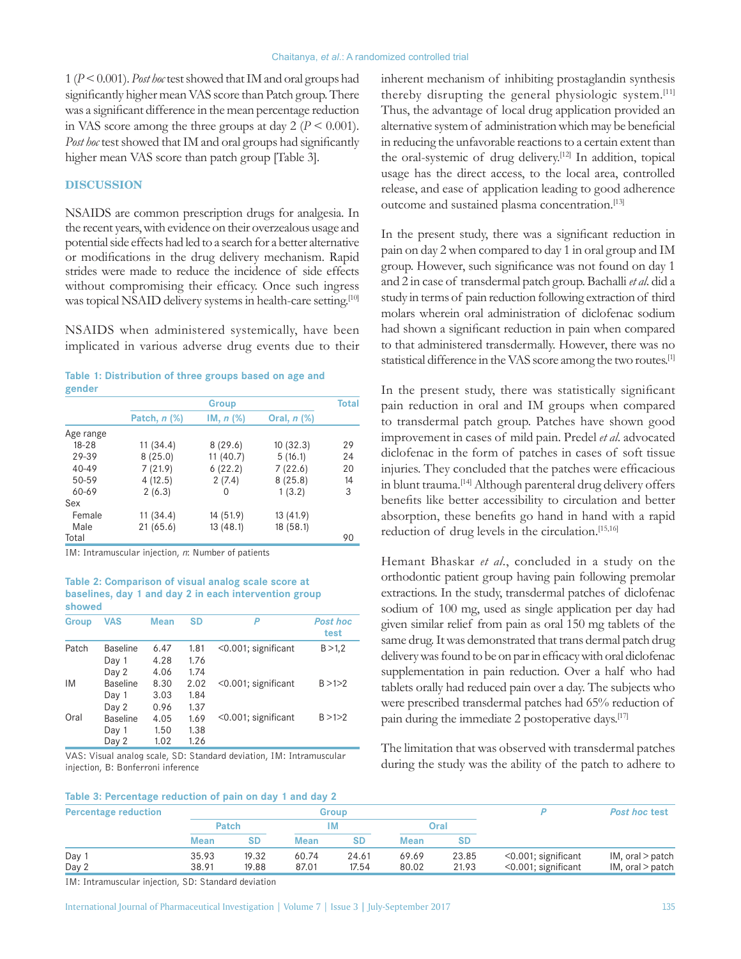1 (*P*<0.001). *Post hoc* test showed that IM and oral groups had significantly higher mean VAS score than Patch group. There was a significant difference in the mean percentage reduction in VAS score among the three groups at day  $2 (P \le 0.001)$ . *Post hoc* test showed that IM and oral groups had significantly higher mean VAS score than patch group [Table 3].

#### **DISCUSSION**

NSAIDS are common prescription drugs for analgesia. In the recent years, with evidence on their overzealous usage and potential side effects had led to a search for a better alternative or modifications in the drug delivery mechanism. Rapid strides were made to reduce the incidence of side effects without compromising their efficacy. Once such ingress was topical NSAID delivery systems in health-care setting.[10]

NSAIDS when administered systemically, have been implicated in various adverse drug events due to their

| Table 1: Distribution of three groups based on age and |  |  |  |  |
|--------------------------------------------------------|--|--|--|--|
| gender                                                 |  |  |  |  |

|           | <b>Group</b>   |           |             |    |  |
|-----------|----------------|-----------|-------------|----|--|
|           | Patch, $n$ $%$ | IM, n (%) | Oral, n (%) |    |  |
| Age range |                |           |             |    |  |
| $18 - 28$ | 11 (34.4)      | 8(29.6)   | 10(32.3)    | 29 |  |
| 29-39     | 8(25.0)        | 11 (40.7) | 5(16.1)     | 24 |  |
| $40 - 49$ | 7(21.9)        | 6(22.2)   | 7(22.6)     | 20 |  |
| 50-59     | 4(12.5)        | 2(7.4)    | 8(25.8)     | 14 |  |
| 60-69     | 2(6.3)         | 0         | 1(3.2)      | 3  |  |
| Sex       |                |           |             |    |  |
| Female    | 11 (34.4)      | 14 (51.9) | 13 (41.9)   |    |  |
| Male      | 21 (65.6)      | 13 (48.1) | 18(58.1)    |    |  |
| Total     |                |           |             | 90 |  |

IM: Intramuscular injection, *n*: Number of patients

#### **Table 2: Comparison of visual analog scale score at baselines, day 1 and day 2 in each intervention group showed**

| <b>Group</b> | <b>VAS</b> | <b>Mean</b> | SD   | P                          | <b>Post hoc</b><br>test |  |
|--------------|------------|-------------|------|----------------------------|-------------------------|--|
| Patch        | Baseline   | 6.47        | 1.81 | $\leq 0.001$ ; significant | B > 1,2                 |  |
|              | Day 1      | 4.28        | 1.76 |                            |                         |  |
|              | Day 2      | 4.06        | 1.74 |                            |                         |  |
| <b>IM</b>    | Baseline   | 8.30        | 2.02 | $<$ 0.001; significant     | B > 1 > 2               |  |
|              | Day 1      | 3.03        | 1.84 |                            |                         |  |
|              | Day 2      | 0.96        | 1.37 |                            |                         |  |
| Oral         | Baseline   | 4.05        | 1.69 | $<$ 0.001; significant     | B > 1 > 2               |  |
|              | Day 1      | 1.50        | 1.38 |                            |                         |  |
|              | Day 2      | 1.02        | 1.26 |                            |                         |  |

VAS: Visual analog scale, SD: Standard deviation, IM: Intramuscular injection, B: Bonferroni inference

inherent mechanism of inhibiting prostaglandin synthesis thereby disrupting the general physiologic system.<sup>[11]</sup> Thus, the advantage of local drug application provided an alternative system of administration which may be beneficial in reducing the unfavorable reactions to a certain extent than the oral-systemic of drug delivery.<sup>[12]</sup> In addition, topical usage has the direct access, to the local area, controlled release, and ease of application leading to good adherence outcome and sustained plasma concentration.[13]

In the present study, there was a significant reduction in pain on day 2 when compared to day 1 in oral group and IM group. However, such significance was not found on day 1 and 2 in case of transdermal patch group. Bachalli *et al*. did a study in terms of pain reduction following extraction of third molars wherein oral administration of diclofenac sodium had shown a significant reduction in pain when compared to that administered transdermally. However, there was no statistical difference in the VAS score among the two routes.[1]

In the present study, there was statistically significant pain reduction in oral and IM groups when compared to transdermal patch group. Patches have shown good improvement in cases of mild pain. Predel *et al*. advocated diclofenac in the form of patches in cases of soft tissue injuries. They concluded that the patches were efficacious in blunt trauma.<sup>[14]</sup> Although parenteral drug delivery offers benefits like better accessibility to circulation and better absorption, these benefits go hand in hand with a rapid reduction of drug levels in the circulation.<sup>[15,16]</sup>

Hemant Bhaskar *et al*., concluded in a study on the orthodontic patient group having pain following premolar extractions. In the study, transdermal patches of diclofenac sodium of 100 mg, used as single application per day had given similar relief from pain as oral 150 mg tablets of the same drug. It was demonstrated that trans dermal patch drug delivery was found to be on par in efficacy with oral diclofenac supplementation in pain reduction. Over a half who had tablets orally had reduced pain over a day. The subjects who were prescribed transdermal patches had 65% reduction of pain during the immediate 2 postoperative days.<sup>[17]</sup>

The limitation that was observed with transdermal patches during the study was the ability of the patch to adhere to

| Table 3: Percentage reduction of pain on day 1 and day 2 |
|----------------------------------------------------------|
|----------------------------------------------------------|

| <b>Percentage reduction</b> |                | Group          |                |                |                |                |                                                  | <b>Post hoc test</b>                           |
|-----------------------------|----------------|----------------|----------------|----------------|----------------|----------------|--------------------------------------------------|------------------------------------------------|
|                             | <b>Patch</b>   |                | ١N             |                | Oral           |                |                                                  |                                                |
|                             | <b>Mean</b>    |                | <b>Mean</b>    | SD             | <b>Mean</b>    | SD             |                                                  |                                                |
| Day<br>Day 2                | 35.93<br>38.91 | 19.32<br>19.88 | 60.74<br>87.01 | 24.61<br>17.54 | 69.69<br>80.02 | 23.85<br>21.93 | $<$ 0.001; significant<br>$<$ 0.001; significant | $IM$ , oral $>$ patch<br>$IM$ , oral $>$ patch |

IM: Intramuscular injection, SD: Standard deviation